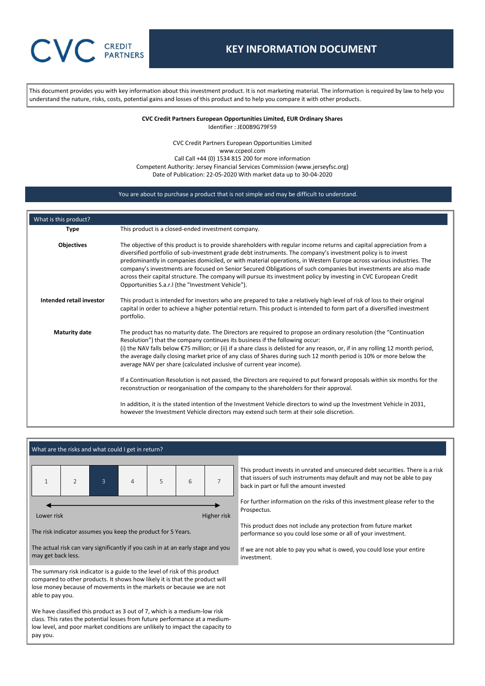This document provides you with key information about this investment product. It is not marketing material. The information is required by law to help you understand the nature, risks, costs, potential gains and losses of this product and to help you compare it with other products.

> **CVC Credit Partners European Opportunities Limited, EUR Ordinary Shares** Identifier : JE00B9G79F59

CVC Credit Partners European Opportunities Limited www.ccpeol.com Call Call +44 (0) 1534 815 200 for more information Competent Authority: Jersey Financial Services Commission (www.jerseyfsc.org) Date of Publication: 22-05-2020 With market data up to 30-04-2020

### You are about to purchase a product that is not simple and may be difficult to understand.

| What is this product?    |                                                                                                                                                                                                                                                                                                                                                                                                                                                                                                                                                                                                                                                                                                                                                                                                                                                                                                                                                                                             |
|--------------------------|---------------------------------------------------------------------------------------------------------------------------------------------------------------------------------------------------------------------------------------------------------------------------------------------------------------------------------------------------------------------------------------------------------------------------------------------------------------------------------------------------------------------------------------------------------------------------------------------------------------------------------------------------------------------------------------------------------------------------------------------------------------------------------------------------------------------------------------------------------------------------------------------------------------------------------------------------------------------------------------------|
| <b>Type</b>              | This product is a closed-ended investment company.                                                                                                                                                                                                                                                                                                                                                                                                                                                                                                                                                                                                                                                                                                                                                                                                                                                                                                                                          |
| <b>Objectives</b>        | The objective of this product is to provide shareholders with regular income returns and capital appreciation from a<br>diversified portfolio of sub-investment grade debt instruments. The company's investment policy is to invest<br>predominantly in companies domiciled, or with material operations, in Western Europe across various industries. The<br>company's investments are focused on Senior Secured Obligations of such companies but investments are also made<br>across their capital structure. The company will pursue its investment policy by investing in CVC European Credit<br>Opportunities S.a.r.I (the "Investment Vehicle").                                                                                                                                                                                                                                                                                                                                    |
| Intended retail investor | This product is intended for investors who are prepared to take a relatively high level of risk of loss to their original<br>capital in order to achieve a higher potential return. This product is intended to form part of a diversified investment<br>portfolio.                                                                                                                                                                                                                                                                                                                                                                                                                                                                                                                                                                                                                                                                                                                         |
| <b>Maturity date</b>     | The product has no maturity date. The Directors are required to propose an ordinary resolution (the "Continuation"<br>Resolution") that the company continues its business if the following occur:<br>(i) the NAV falls below $\epsilon$ 75 million; or (ii) if a share class is delisted for any reason, or, if in any rolling 12 month period,<br>the average daily closing market price of any class of Shares during such 12 month period is 10% or more below the<br>average NAV per share (calculated inclusive of current year income).<br>If a Continuation Resolution is not passed, the Directors are required to put forward proposals within six months for the<br>reconstruction or reorganisation of the company to the shareholders for their approval.<br>In addition, it is the stated intention of the Investment Vehicle directors to wind up the Investment Vehicle in 2031,<br>however the Investment Vehicle directors may extend such term at their sole discretion. |

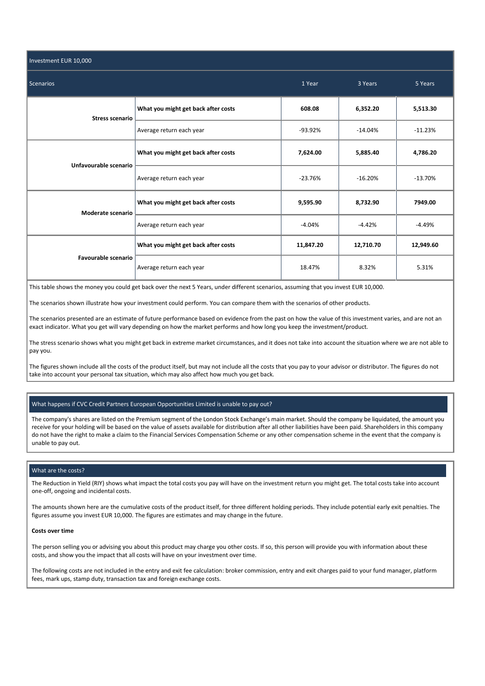| Investment EUR 10,000  |                                     |           |           |           |
|------------------------|-------------------------------------|-----------|-----------|-----------|
| <b>Scenarios</b>       | 1 Year                              | 3 Years   | 5 Years   |           |
| <b>Stress scenario</b> | What you might get back after costs | 608.08    | 6,352.20  | 5,513.30  |
|                        | Average return each year            | $-93.92%$ | $-14.04%$ | $-11.23%$ |
| Unfavourable scenario  | What you might get back after costs | 7,624.00  | 5,885.40  | 4,786.20  |
|                        | Average return each year            | $-23.76%$ | $-16.20%$ | $-13.70%$ |
| Moderate scenario      | What you might get back after costs | 9,595.90  | 8,732.90  | 7949.00   |
|                        | Average return each year            | $-4.04%$  | $-4.42%$  | $-4.49%$  |
| Favourable scenario    | What you might get back after costs | 11,847.20 | 12,710.70 | 12,949.60 |
|                        | Average return each year            | 18.47%    | 8.32%     | 5.31%     |

This table shows the money you could get back over the next 5 Years, under different scenarios, assuming that you invest EUR 10,000.

The scenarios shown illustrate how your investment could perform. You can compare them with the scenarios of other products.

The scenarios presented are an estimate of future performance based on evidence from the past on how the value of this investment varies, and are not an exact indicator. What you get will vary depending on how the market performs and how long you keep the investment/product.

The stress scenario shows what you might get back in extreme market circumstances, and it does not take into account the situation where we are not able to pay you.

The figures shown include all the costs of the product itself, but may not include all the costs that you pay to your advisor or distributor. The figures do not take into account your personal tax situation, which may also affect how much you get back.

# What happens if CVC Credit Partners European Opportunities Limited is unable to pay out?

The company's shares are listed on the Premium segment of the London Stock Exchange's main market. Should the company be liquidated, the amount you receive for your holding will be based on the value of assets available for distribution after all other liabilities have been paid. Shareholders in this company do not have the right to make a claim to the Financial Services Compensation Scheme or any other compensation scheme in the event that the company is unable to pay out.

## What are the costs?

The Reduction in Yield (RIY) shows what impact the total costs you pay will have on the investment return you might get. The total costs take into account one-off, ongoing and incidental costs.

The amounts shown here are the cumulative costs of the product itself, for three different holding periods. They include potential early exit penalties. The figures assume you invest EUR 10,000. The figures are estimates and may change in the future.

## **Costs over time**

The person selling you or advising you about this product may charge you other costs. If so, this person will provide you with information about these costs, and show you the impact that all costs will have on your investment over time.

The following costs are not included in the entry and exit fee calculation: broker commission, entry and exit charges paid to your fund manager, platform fees, mark ups, stamp duty, transaction tax and foreign exchange costs.